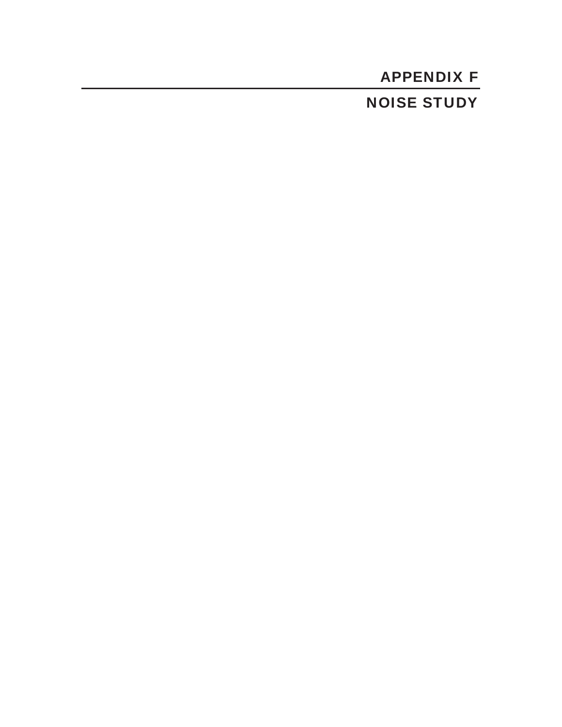# APPENDIX F NOISE STUDY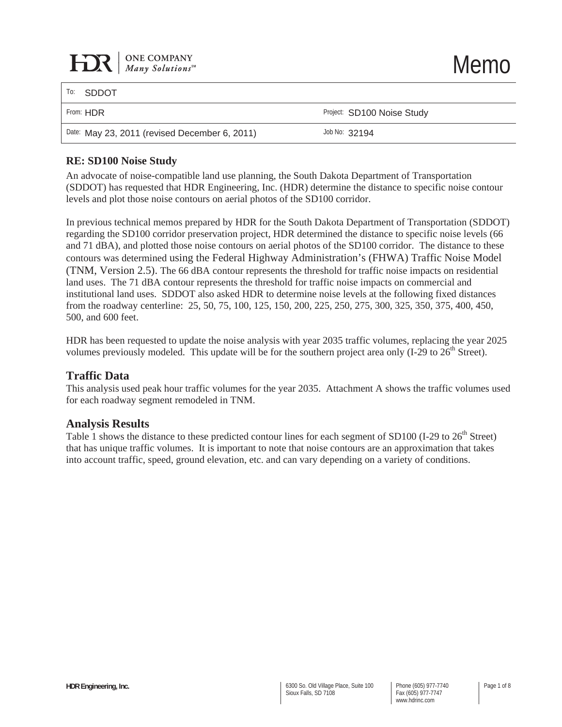| $\sum$ Me COMPANY<br>Many Solutions <sup>SM</sup> |                            | <b>Memo</b> |
|---------------------------------------------------|----------------------------|-------------|
| To:<br><b>SDDOT</b>                               |                            |             |
| From: HDR                                         | Project: SD100 Noise Study |             |
| Date: May 23, 2011 (revised December 6, 2011)     | Job No: 32194              |             |
|                                                   |                            |             |

#### **RE: SD100 Noise Study**

An advocate of noise-compatible land use planning, the South Dakota Department of Transportation (SDDOT) has requested that HDR Engineering, Inc. (HDR) determine the distance to specific noise contour levels and plot those noise contours on aerial photos of the SD100 corridor.

In previous technical memos prepared by HDR for the South Dakota Department of Transportation (SDDOT) regarding the SD100 corridor preservation project, HDR determined the distance to specific noise levels (66 and 71 dBA), and plotted those noise contours on aerial photos of the SD100 corridor. The distance to these contours was determined using the Federal Highway Administration's (FHWA) Traffic Noise Model (TNM, Version 2.5). The 66 dBA contour represents the threshold for traffic noise impacts on residential land uses. The 71 dBA contour represents the threshold for traffic noise impacts on commercial and institutional land uses. SDDOT also asked HDR to determine noise levels at the following fixed distances from the roadway centerline: 25, 50, 75, 100, 125, 150, 200, 225, 250, 275, 300, 325, 350, 375, 400, 450, 500, and 600 feet.

HDR has been requested to update the noise analysis with year 2035 traffic volumes, replacing the year 2025 volumes previously modeled. This update will be for the southern project area only  $(I-29$  to  $26<sup>th</sup>$  Street).

#### **Traffic Data**

This analysis used peak hour traffic volumes for the year 2035. Attachment A shows the traffic volumes used for each roadway segment remodeled in TNM.

#### **Analysis Results**

Table 1 shows the distance to these predicted contour lines for each segment of SD100 (I-29 to 26<sup>th</sup> Street) that has unique traffic volumes. It is important to note that noise contours are an approximation that takes into account traffic, speed, ground elevation, etc. and can vary depending on a variety of conditions.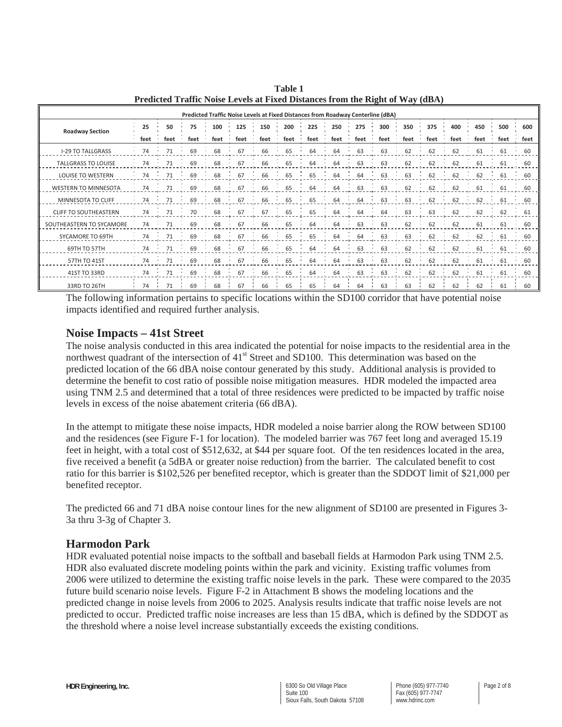| Predicted Traffic Noise Levels at Fixed Distances from Roadway Centerline (dBA) |      |      |      |      |      |      |      |      |      |      |      |      |      |      |      |      |      |
|---------------------------------------------------------------------------------|------|------|------|------|------|------|------|------|------|------|------|------|------|------|------|------|------|
| <b>Roadway Section</b>                                                          | 25   | 50   | 75   | 100  | 125  | 150  | 200  | 225  | 250  | 275  | 300  | 350  | 375  | 400  | 450  | 500  | 600  |
|                                                                                 | feet | feet | feet | feet | feet | feet | feet | feet | feet | feet | feet | feet | feet | feet | feet | feet | feet |
| <b>I-29 TO TALLGRASS</b>                                                        | 74   | 71   | 69   | 68   | 67   | 66   | 65   | 64   | 64   | 63   | 63   | 62   | 62   | 62   | 61   | 61   | 60   |
| <b>TALLGRASS TO LOUISE</b>                                                      | 74   | 71   | 69   | 68   | 67   | 66   | 65   | 64   | 64   | 63   | 63   | 62   | 62   | 62   | 61   | 61   | 60   |
| <b>LOUISE TO WESTERN</b>                                                        | 74   | 71   | 69   | 68   | 67   | 66   | 65   | 65   | 64   | 64   | 63   | 63   | 62   | 62   | 62   | 61   | 60   |
| <b>WESTERN TO MINNESOTA</b>                                                     | 74   | 71   | 69   | 68   | 67   | 66   | 65   | 64   | 64   | 63   | 63   | 62   | 62   | 62   | 61   | 61   | 60   |
| MINNESOTA TO CLIFF                                                              | 74   | 71   | 69   | 68   | 67   | 66   | 65   | 65   | 64   | 64   | 63   | 63   | 62   | 62   | 62   | 61   | 60   |
| <b>CLIFF TO SOUTHEASTERN</b>                                                    | 74   | 71   | 70   | 68   | 67   | 67   | 65   | 65   | 64   | 64   | 64   | 63   | 63   | 62   | 62   | 62   | 61   |
| SOUTHEASTERN TO SYCAMORE                                                        | 74   | 71   | 69   | 68   | 67   | 66   | 65   | 64   | 64   | 63   | 63   | 62   | 62   | 62   | 61   | 61   | 60   |
| SYCAMORE TO 69TH                                                                | 74   | 71   | 69   | 68   | 67   | 66   | 65   | 65   | 64   | 64   | 63   | 63   | 62   | 62   | 62   | 61   | 60   |
| 69TH TO 57TH                                                                    | 74   | 71   | 69   | 68   | 67   | 66   | 65   | 64   | 64   | 63   | 63   | 62   | 62   | 62   | 61   | 61   | 60   |
| 57TH TO 41ST                                                                    | 74   | 71   | 69   | 68   | 67   | 66   | 65   | 64   | 64   | 63   | 63   | 62   | 62   | 62   | 61   | 61   | 60   |
| 41ST TO 33RD                                                                    | 74   | 71   | 69   | 68   | 67   | 66   | 65   | 64   | 64   | 63   | 63   | 62   | 62   | 62   | 61   | 61   | 60   |
| 33RD TO 26TH                                                                    | 74   | 71   | 69   | 68   | 67   | 66   | 65   | 65   | 64   | 64   | 63   | 63   | 62   | 62   | 62   | 61   | 60   |

**Table 1 Predicted Traffic Noise Levels at Fixed Distances from the Right of Way (dBA)** 

The following information pertains to specific locations within the SD100 corridor that have potential noise impacts identified and required further analysis.

### **Noise Impacts – 41st Street**

The noise analysis conducted in this area indicated the potential for noise impacts to the residential area in the northwest quadrant of the intersection of 41<sup>st</sup> Street and SD100. This determination was based on the predicted location of the 66 dBA noise contour generated by this study. Additional analysis is provided to determine the benefit to cost ratio of possible noise mitigation measures. HDR modeled the impacted area using TNM 2.5 and determined that a total of three residences were predicted to be impacted by traffic noise levels in excess of the noise abatement criteria (66 dBA).

In the attempt to mitigate these noise impacts, HDR modeled a noise barrier along the ROW between SD100 and the residences (see Figure F-1 for location). The modeled barrier was 767 feet long and averaged 15.19 feet in height, with a total cost of \$512,632, at \$44 per square foot. Of the ten residences located in the area, five received a benefit (a 5dBA or greater noise reduction) from the barrier. The calculated benefit to cost ratio for this barrier is \$102,526 per benefited receptor, which is greater than the SDDOT limit of \$21,000 per benefited receptor.

The predicted 66 and 71 dBA noise contour lines for the new alignment of SD100 are presented in Figures 3- 3a thru 3-3g of Chapter 3.

## **Harmodon Park**

HDR evaluated potential noise impacts to the softball and baseball fields at Harmodon Park using TNM 2.5. HDR also evaluated discrete modeling points within the park and vicinity. Existing traffic volumes from 2006 were utilized to determine the existing traffic noise levels in the park. These were compared to the 2035 future build scenario noise levels. Figure F-2 in Attachment B shows the modeling locations and the predicted change in noise levels from 2006 to 2025. Analysis results indicate that traffic noise levels are not predicted to occur. Predicted traffic noise increases are less than 15 dBA, which is defined by the SDDOT as the threshold where a noise level increase substantially exceeds the existing conditions.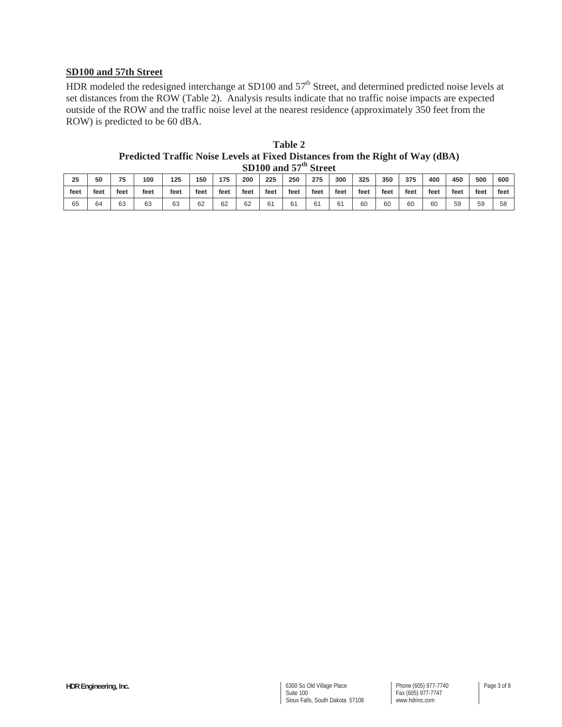## **SD100 and 57th Street**

HDR modeled the redesigned interchange at SD100 and 57<sup>th</sup> Street, and determined predicted noise levels at set distances from the ROW (Table 2). Analysis results indicate that no traffic noise impacts are expected outside of the ROW and the traffic noise level at the nearest residence (approximately 350 feet from the ROW) is predicted to be 60 dBA.

| <b>Table 2</b>                                                                |
|-------------------------------------------------------------------------------|
| Predicted Traffic Noise Levels at Fixed Distances from the Right of Way (dBA) |
| SD100 and 57 <sup>th</sup> Street                                             |

| 25   | 50   | フド<br>ر., | 100  | 125  | 150  | 175  | 200  | 225  | 250  | 275  | 300    | 325  | 350  | 375  | 400  | 450  | 500  | 600  |
|------|------|-----------|------|------|------|------|------|------|------|------|--------|------|------|------|------|------|------|------|
| feet | feet | feet      | feet | feet | feet | feet | feet | feet | feet | feet | feet   | feet | feet | feet | feet | feet | feet | feet |
| 65   | 64   | 63        | 63   | 63   | 62   | 62   | 62   | 61   | 61   | ົ    | $\sim$ | 60   | 60   | 60   | 60   | 59   | 59   | 58   |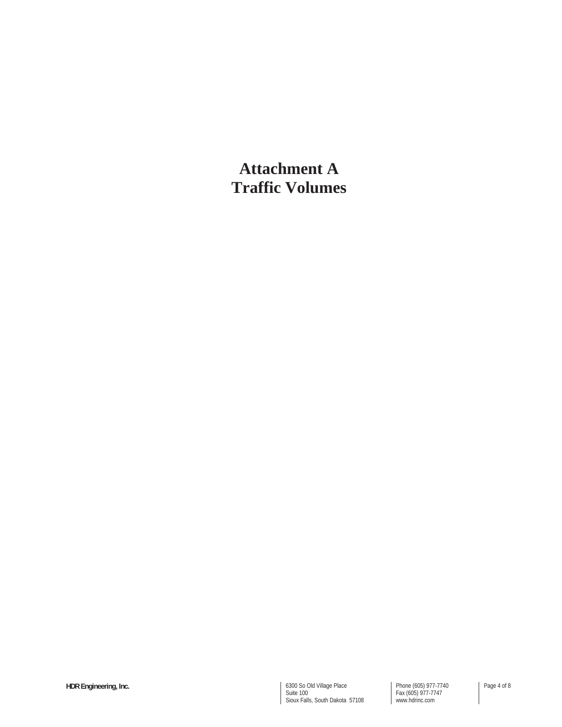**Attachment A Traffic Volumes**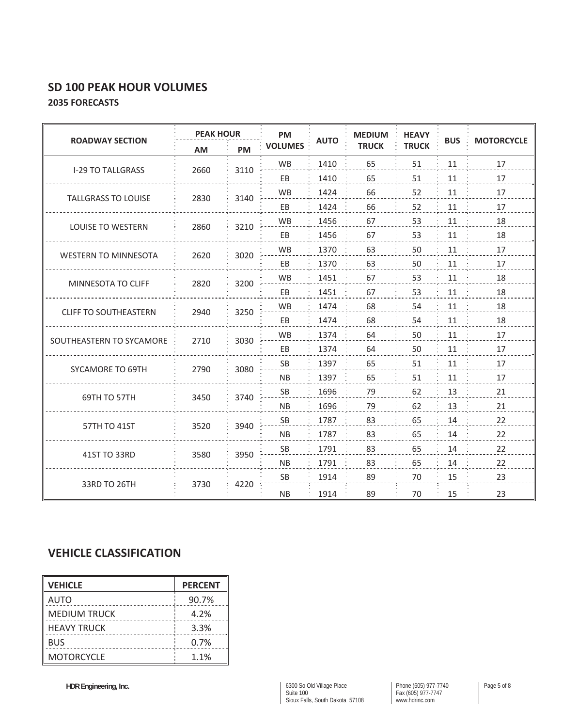# **SD 100 PEAK HOUR VOLUMES 2035 FORECASTS**

|                              | <b>PEAK HOUR</b> |      | <b>PM</b>      |             | <b>MEDIUM</b> | <b>HEAVY</b> |            | <b>MOTORCYCLE</b> |  |  |
|------------------------------|------------------|------|----------------|-------------|---------------|--------------|------------|-------------------|--|--|
| <b>ROADWAY SECTION</b>       | AM               | PM   | <b>VOLUMES</b> | <b>AUTO</b> | <b>TRUCK</b>  | <b>TRUCK</b> | <b>BUS</b> |                   |  |  |
| <b>I-29 TO TALLGRASS</b>     | 2660             | 3110 | <b>WB</b>      | 1410        | 65            | 51           | 11         | 17                |  |  |
|                              |                  |      | EB             | 1410        | 65            | 51           | 11         | 17                |  |  |
| <b>TALLGRASS TO LOUISE</b>   | 2830             | 3140 | <b>WB</b>      | 1424        | 66            | 52           | 11         | 17                |  |  |
|                              |                  |      | EB             | 1424        | 66            | 52           | 11         | 17                |  |  |
| <b>LOUISE TO WESTERN</b>     | 2860             | 3210 | <b>WB</b>      | 1456        | 67            | 53           | 11         | 18                |  |  |
|                              |                  |      | EB             | 1456        | 67            | 53           | 11         | 18                |  |  |
| <b>WESTERN TO MINNESOTA</b>  | 2620             | 3020 | <b>WB</b>      | 1370        | 63            | 50           | 11         | 17                |  |  |
|                              |                  |      | EB             | 1370        | 63            | 50           | 11         | 17                |  |  |
| MINNESOTA TO CLIFF           | 2820             | 3200 | <b>WB</b>      | 1451        | 67            | 53           | 11         | 18                |  |  |
|                              |                  |      | EB             | 1451        | 67            | 53           | 11         | 18                |  |  |
| <b>CLIFF TO SOUTHEASTERN</b> | 2940             | 3250 | WB             | 1474        | 68            | 54           | 11         | 18                |  |  |
|                              |                  |      | EB             | 1474        | 68            | 54           | 11         | 18                |  |  |
| SOUTHEASTERN TO SYCAMORE     | 2710             | 3030 | <b>WB</b>      | 1374        | 64            | 50           | 11         | 17                |  |  |
|                              |                  |      | EB             | 1374        | 64            | 50           | 11         | 17                |  |  |
| SYCAMORE TO 69TH             | 2790             | 3080 | SB             | 1397        | 65            | 51           | 11         | 17                |  |  |
|                              |                  |      | <b>NB</b>      | 1397        | 65            | 51           | 11         | 17                |  |  |
| 69TH TO 57TH                 | 3450             | 3740 | SB             | 1696        | 79            | 62           | 13         | 21                |  |  |
|                              |                  |      | <b>NB</b>      | 1696        | 79            | 62           | 13         | 21                |  |  |
| 57TH TO 41ST                 | 3520             | 3940 | SB             | 1787        | 83            | 65           | 14         | 22                |  |  |
|                              |                  |      | <b>NB</b>      | 1787        | 83            | 65           | 14         | 22                |  |  |
| 41ST TO 33RD                 | 3580             | 3950 | <b>SB</b>      | 1791        | 83            | 65           | 14         | 22                |  |  |
|                              |                  |      | <b>NB</b>      | 1791        | 83            | 65           | 14         | 22                |  |  |
|                              |                  | 4220 | SB             | 1914        | 89            | 70           | 15         | 23                |  |  |
| 33RD TO 26TH                 | 3730             |      | <b>NB</b>      | 1914        | 89            | 70           | 15         | 23                |  |  |

# **VEHICLE CLASSIFICATION**

| <b>VEHICLE</b>      | <b>PERCENT</b> |
|---------------------|----------------|
| AUTO                | 90.7%          |
| <b>MEDIUM TRUCK</b> | 4.2%           |
| <b>HEAVY TRUCK</b>  | 3.3%           |
| <b>BUS</b>          | 0.7%           |
| <b>MOTORCYCLE</b>   | 1.1%           |

Phone (605) 977-7740 Fax (605) 977-7747 www.hdrinc.com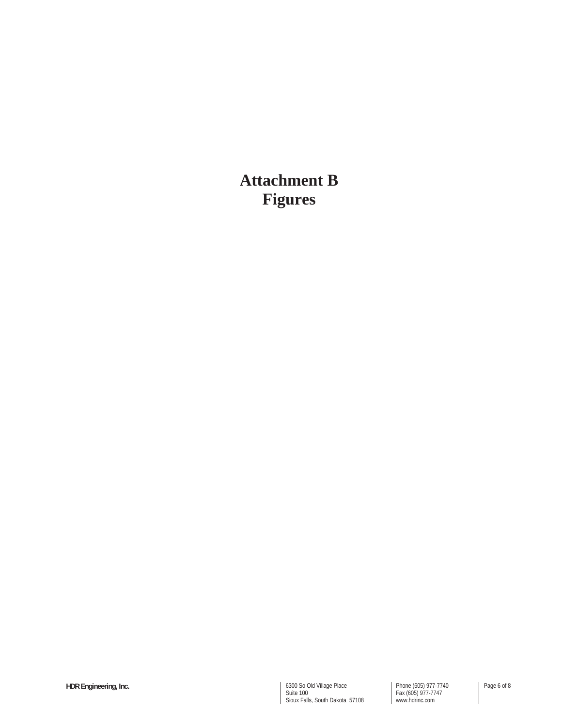**Attachment B Figures**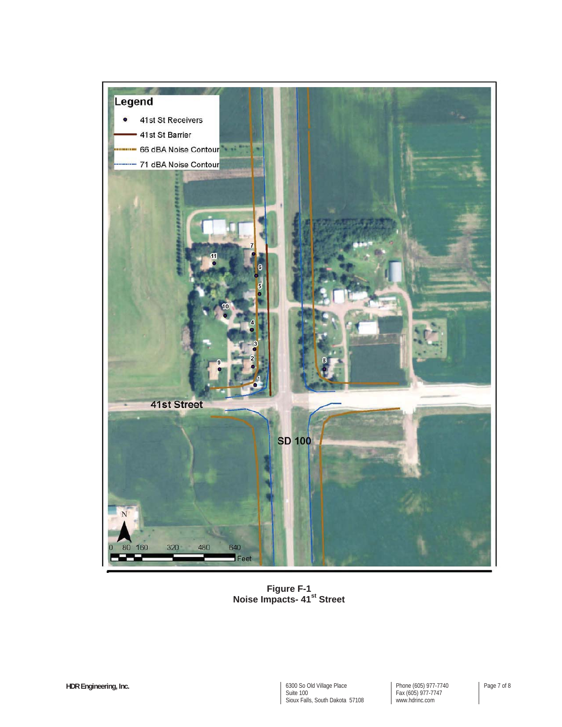

**Figure F-1 Noise Impacts- 41st Street**